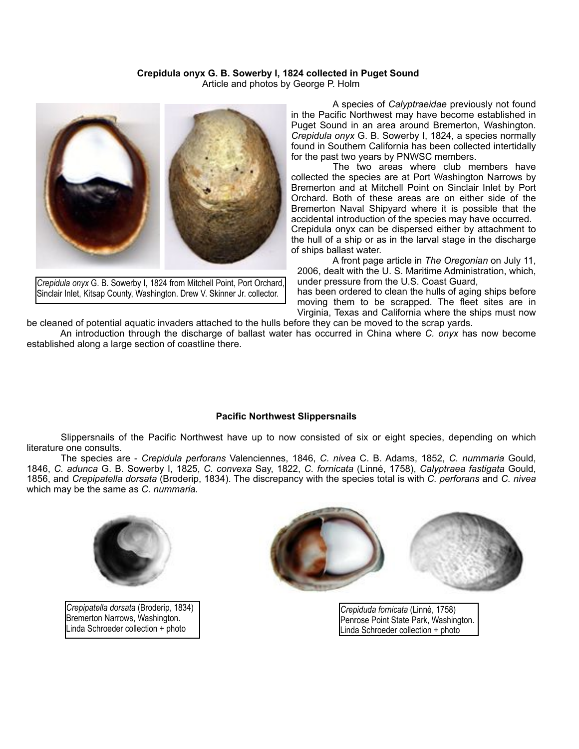## **Crepidula onyx G. B. Sowerby I, 1824 collected in Puget Sound**

Article and photos by George P. Holm



*Crepidula onyx* G. B. Sowerby I, 1824 from Mitchell Point, Port Orchard, Sinclair Inlet, Kitsap County, Washington. Drew V. Skinner Jr. collector.

 A species of *Calyptraeidae* previously not found in the Pacific Northwest may have become established in Puget Sound in an area around Bremerton, Washington. *Crepidula onyx* G. B. Sowerby I, 1824, a species normally found in Southern California has been collected intertidally for the past two years by PNWSC members.

 The two areas where club members have collected the species are at Port Washington Narrows by Bremerton and at Mitchell Point on Sinclair Inlet by Port Orchard. Both of these areas are on either side of the Bremerton Naval Shipyard where it is possible that the accidental introduction of the species may have occurred. Crepidula onyx can be dispersed either by attachment to the hull of a ship or as in the larval stage in the discharge of ships ballast water.

 A front page article in *The Oregonian* on July 11, 2006, dealt with the U. S. Maritime Administration, which, under pressure from the U.S. Coast Guard, has been ordered to clean the hulls of aging ships before

moving them to be scrapped. The fleet sites are in Virginia, Texas and California where the ships must now

be cleaned of potential aquatic invaders attached to the hulls before they can be moved to the scrap yards. An introduction through the discharge of ballast water has occurred in China where *C. onyx* has now become established along a large section of coastline there.

## **Pacific Northwest Slippersnails**

Slippersnails of the Pacific Northwest have up to now consisted of six or eight species, depending on which literature one consults.

 The species are - *Crepidula perforans* Valenciennes, 1846, *C. nivea* C. B. Adams, 1852, *C. nummaria* Gould, 1846, *C. adunca* G. B. Sowerby I, 1825, *C. convexa* Say, 1822, *C. fornicata* (Linné, 1758), *Calyptraea fastigata* Gould, 1856, and *Crepipatella dorsata* (Broderip, 1834). The discrepancy with the species total is with *C. perforans* and *C. nivea*  which may be the same as *C. nummaria.*



*Crepipatella dorsata* (Broderip, 1834) Bremerton Narrows, Washington. Linda Schroeder collection + photo



*Crepiduda fornicata* (Linné, 1758) Penrose Point State Park, Washington. Linda Schroeder collection + photo